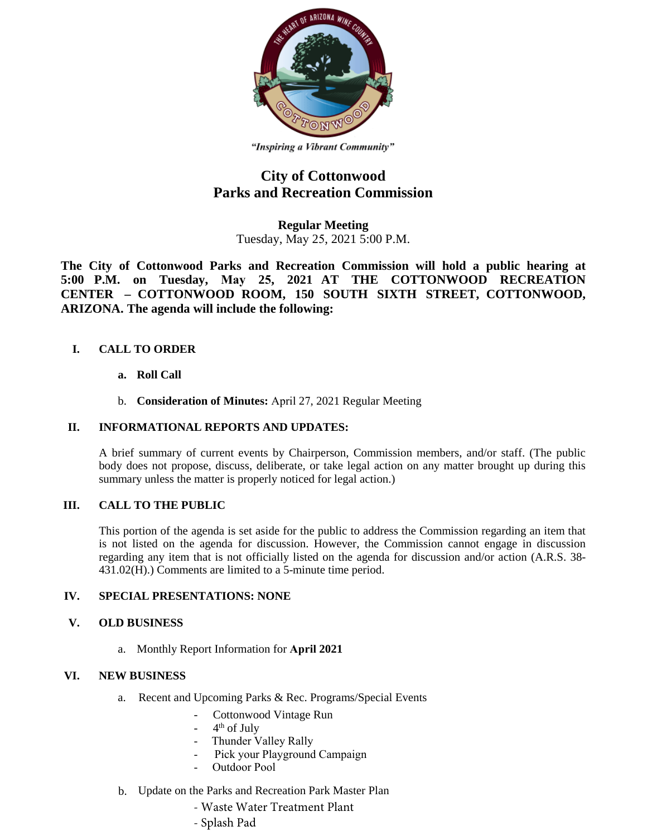

"Inspiring a Vibrant Community"

## **City of Cottonwood Parks and Recreation Commission**

**Regular Meeting**  Tuesday, May 25, 2021 5:00 P.M.

**The City of Cottonwood Parks and Recreation Commission will hold a public hearing at 5:00 P.M. on Tuesday, May 25, 2021 AT THE COTTONWOOD RECREATION CENTER – COTTONWOOD ROOM, 150 SOUTH SIXTH STREET, COTTONWOOD, ARIZONA. The agenda will include the following:** 

## **I. CALL TO ORDER**

- **a. Roll Call**
- b. **Consideration of Minutes:** April 27, 2021 Regular Meeting

## **II. INFORMATIONAL REPORTS AND UPDATES:**

A brief summary of current events by Chairperson, Commission members, and/or staff. (The public body does not propose, discuss, deliberate, or take legal action on any matter brought up during this summary unless the matter is properly noticed for legal action.)

## **III. CALL TO THE PUBLIC**

This portion of the agenda is set aside for the public to address the Commission regarding an item that is not listed on the agenda for discussion. However, the Commission cannot engage in discussion regarding any item that is not officially listed on the agenda for discussion and/or action (A.R.S. 38- 431.02(H).) Comments are limited to a 5-minute time period.

#### **IV. SPECIAL PRESENTATIONS: NONE**

#### **V. OLD BUSINESS**

a. Monthly Report Information for **April 2021**

#### **VI. NEW BUSINESS**

- a. Recent and Upcoming Parks & Rec. Programs/Special Events
	- Cottonwood Vintage Run
	- 4<sup>th</sup> of July
	- Thunder Valley Rally
	- Pick your Playground Campaign
	- Outdoor Pool
- b. Update on the Parks and Recreation Park Master Plan
	- Waste Water Treatment Plant
	- Splash Pad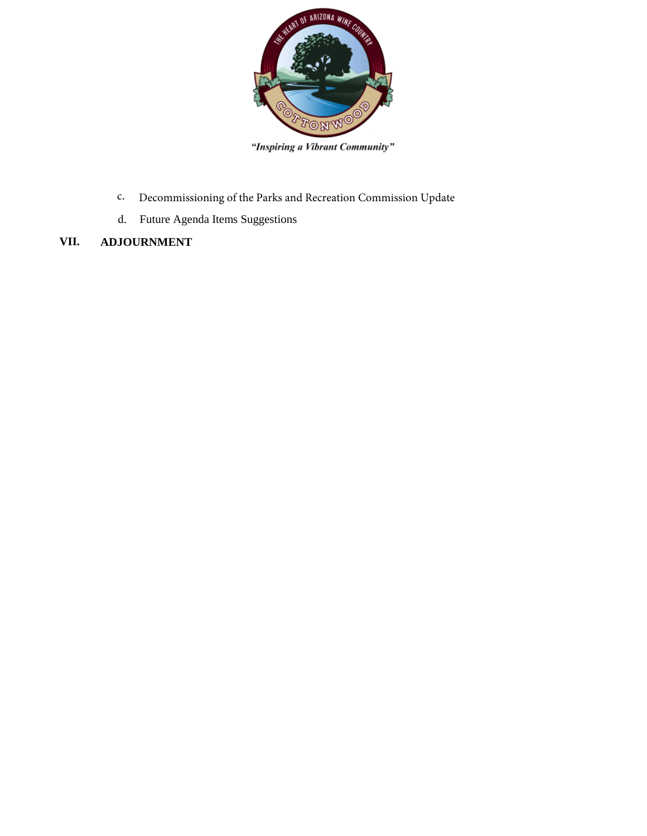

"Inspiring a Vibrant Community"

- c. Decommissioning of the Parks and Recreation Commission Update
- d. Future Agenda Items Suggestions
- **VII. ADJOURNMENT**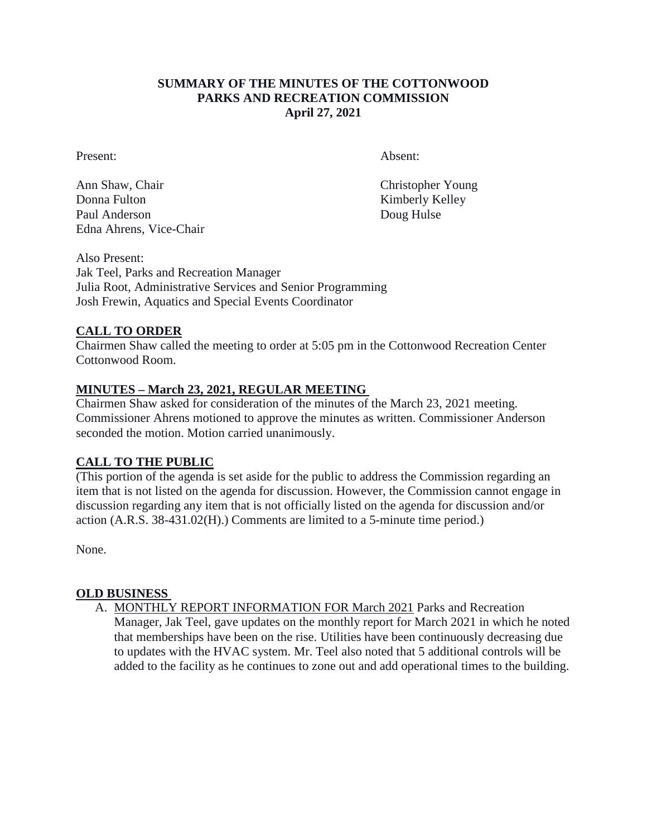## **SUMMARY OF THE MINUTES OF THE COTTONWOOD PARKS AND RECREATION COMMISSION April 27, 2021**

Present: Absent:

Ann Shaw, Chair Christopher Young Donna Fulton Kimberly Kelley Paul Anderson Doug Hulse Edna Ahrens, Vice-Chair

Also Present: Jak Teel, Parks and Recreation Manager Julia Root, Administrative Services and Senior Programming Josh Frewin, Aquatics and Special Events Coordinator

## **CALL TO ORDER**

Chairmen Shaw called the meeting to order at 5:05 pm in the Cottonwood Recreation Center Cottonwood Room.

## **MINUTES – March 23, 2021, REGULAR MEETING**

Chairmen Shaw asked for consideration of the minutes of the March 23, 2021 meeting. Commissioner Ahrens motioned to approve the minutes as written. Commissioner Anderson seconded the motion. Motion carried unanimously.

## **CALL TO THE PUBLIC**

(This portion of the agenda is set aside for the public to address the Commission regarding an item that is not listed on the agenda for discussion. However, the Commission cannot engage in discussion regarding any item that is not officially listed on the agenda for discussion and/or action (A.R.S. 38-431.02(H).) Comments are limited to a 5-minute time period.)

None.

## **OLD BUSINESS**

A. MONTHLY REPORT INFORMATION FOR March 2021 Parks and Recreation Manager, Jak Teel, gave updates on the monthly report for March 2021 in which he noted that memberships have been on the rise. Utilities have been continuously decreasing due to updates with the HVAC system. Mr. Teel also noted that 5 additional controls will be added to the facility as he continues to zone out and add operational times to the building.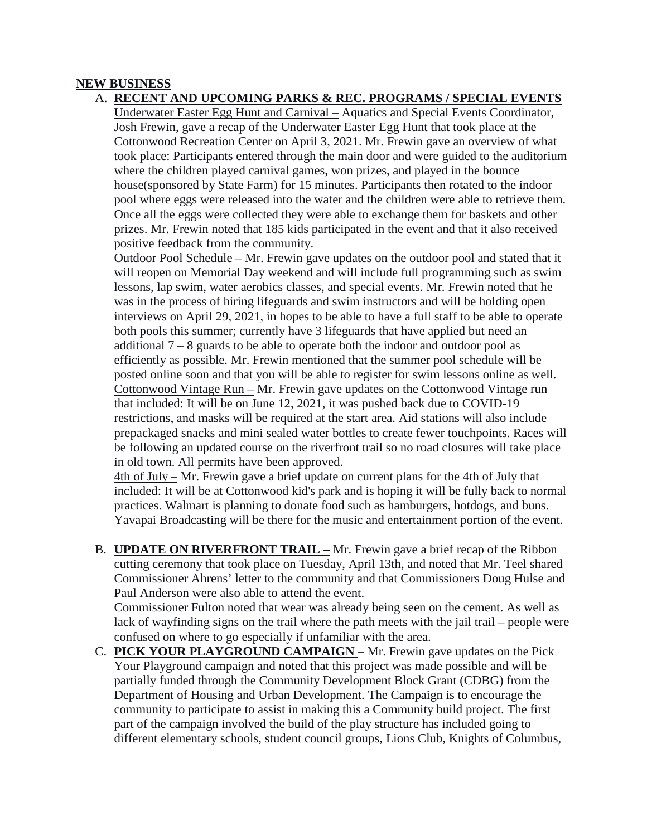## **NEW BUSINESS**

A. **RECENT AND UPCOMING PARKS & REC. PROGRAMS / SPECIAL EVENTS** 

Underwater Easter Egg Hunt and Carnival – Aquatics and Special Events Coordinator, Josh Frewin, gave a recap of the Underwater Easter Egg Hunt that took place at the Cottonwood Recreation Center on April 3, 2021. Mr. Frewin gave an overview of what took place: Participants entered through the main door and were guided to the auditorium where the children played carnival games, won prizes, and played in the bounce house(sponsored by State Farm) for 15 minutes. Participants then rotated to the indoor pool where eggs were released into the water and the children were able to retrieve them. Once all the eggs were collected they were able to exchange them for baskets and other prizes. Mr. Frewin noted that 185 kids participated in the event and that it also received positive feedback from the community.

Outdoor Pool Schedule – Mr. Frewin gave updates on the outdoor pool and stated that it will reopen on Memorial Day weekend and will include full programming such as swim lessons, lap swim, water aerobics classes, and special events. Mr. Frewin noted that he was in the process of hiring lifeguards and swim instructors and will be holding open interviews on April 29, 2021, in hopes to be able to have a full staff to be able to operate both pools this summer; currently have 3 lifeguards that have applied but need an additional 7 – 8 guards to be able to operate both the indoor and outdoor pool as efficiently as possible. Mr. Frewin mentioned that the summer pool schedule will be posted online soon and that you will be able to register for swim lessons online as well. Cottonwood Vintage Run – Mr. Frewin gave updates on the Cottonwood Vintage run that included: It will be on June 12, 2021, it was pushed back due to COVID-19 restrictions, and masks will be required at the start area. Aid stations will also include prepackaged snacks and mini sealed water bottles to create fewer touchpoints. Races will be following an updated course on the riverfront trail so no road closures will take place in old town. All permits have been approved.

4th of July – Mr. Frewin gave a brief update on current plans for the 4th of July that included: It will be at Cottonwood kid's park and is hoping it will be fully back to normal practices. Walmart is planning to donate food such as hamburgers, hotdogs, and buns. Yavapai Broadcasting will be there for the music and entertainment portion of the event.

B. **UPDATE ON RIVERFRONT TRAIL –** Mr. Frewin gave a brief recap of the Ribbon cutting ceremony that took place on Tuesday, April 13th, and noted that Mr. Teel shared Commissioner Ahrens' letter to the community and that Commissioners Doug Hulse and Paul Anderson were also able to attend the event.

Commissioner Fulton noted that wear was already being seen on the cement. As well as lack of wayfinding signs on the trail where the path meets with the jail trail – people were confused on where to go especially if unfamiliar with the area.

C. **PICK YOUR PLAYGROUND CAMPAIGN** – Mr. Frewin gave updates on the Pick Your Playground campaign and noted that this project was made possible and will be partially funded through the Community Development Block Grant (CDBG) from the Department of Housing and Urban Development. The Campaign is to encourage the community to participate to assist in making this a Community build project. The first part of the campaign involved the build of the play structure has included going to different elementary schools, student council groups, Lions Club, Knights of Columbus,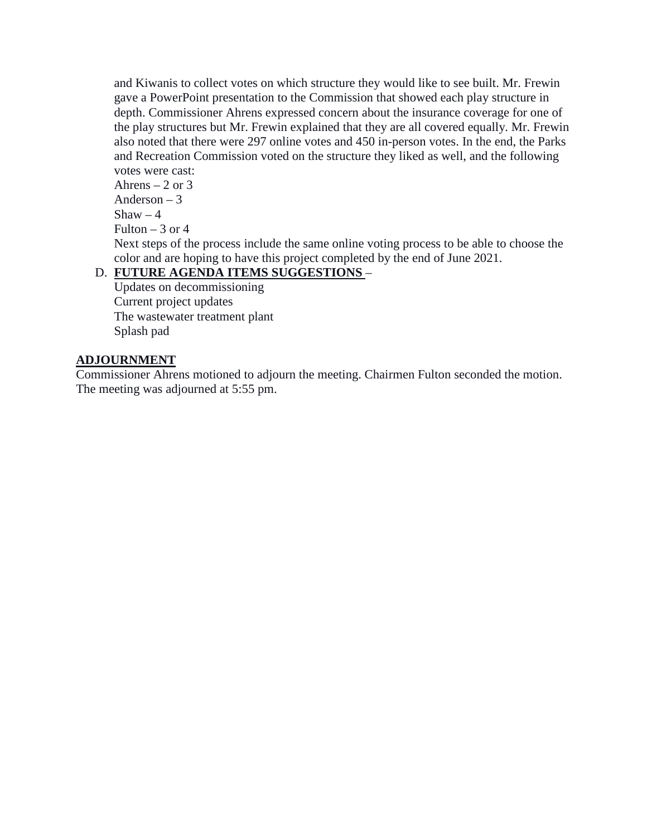and Kiwanis to collect votes on which structure they would like to see built. Mr. Frewin gave a PowerPoint presentation to the Commission that showed each play structure in depth. Commissioner Ahrens expressed concern about the insurance coverage for one of the play structures but Mr. Frewin explained that they are all covered equally. Mr. Frewin also noted that there were 297 online votes and 450 in-person votes. In the end, the Parks and Recreation Commission voted on the structure they liked as well, and the following votes were cast:

Ahrens  $-2$  or 3 Anderson – 3  $Shaw - 4$ Fulton  $-3$  or 4 Next steps of the process include the same online voting process to be able to choose the color and are hoping to have this project completed by the end of June 2021.

# D. **FUTURE AGENDA ITEMS SUGGESTIONS** –

Updates on decommissioning Current project updates The wastewater treatment plant Splash pad

## **ADJOURNMENT**

Commissioner Ahrens motioned to adjourn the meeting. Chairmen Fulton seconded the motion. The meeting was adjourned at 5:55 pm.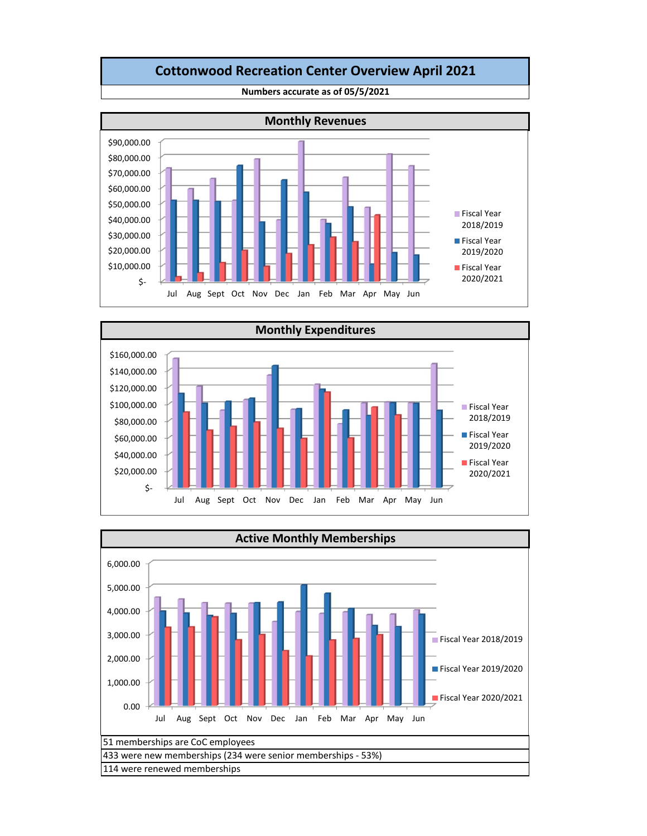# **Cottonwood Recreation Center Overview April 2021**



**Numbers accurate as of 05/5/2021**



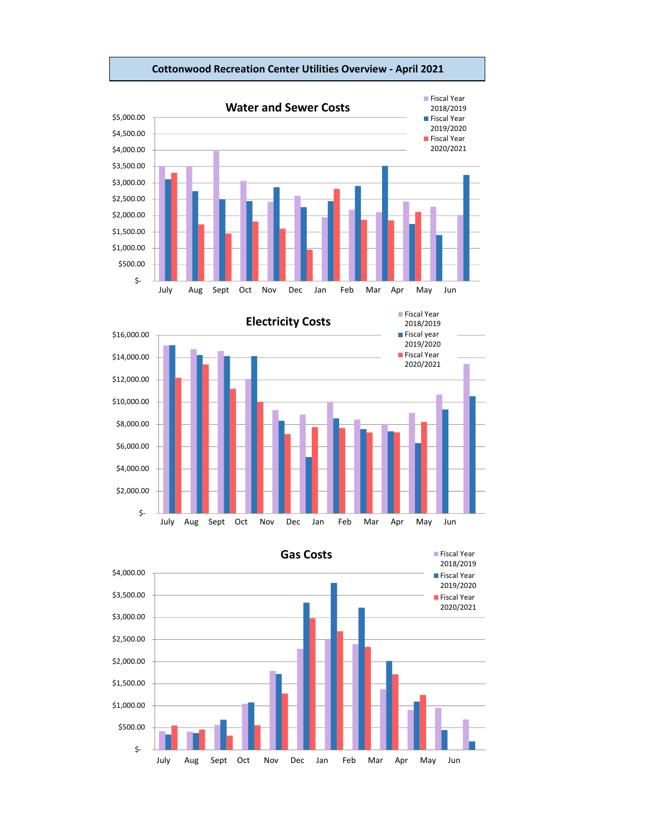

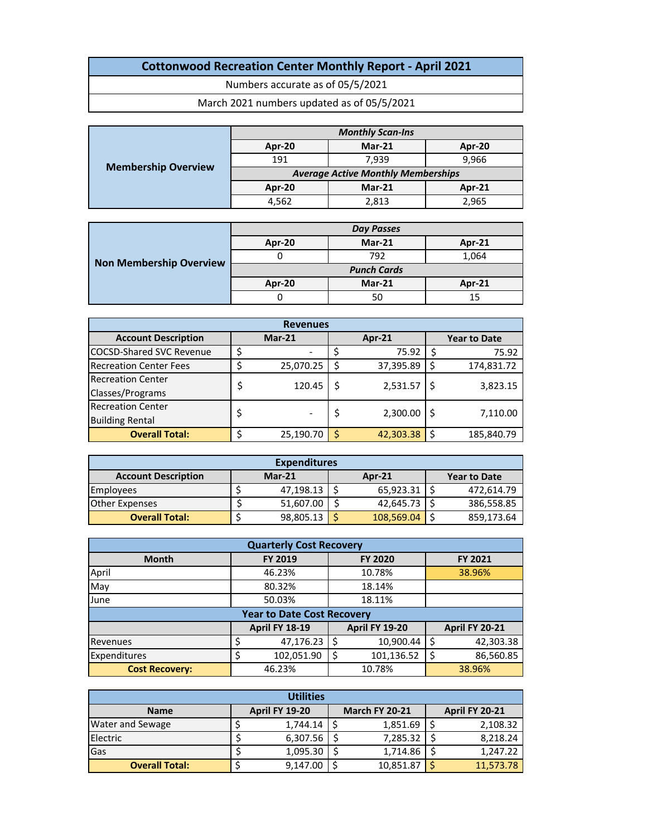# **Cottonwood Recreation Center Monthly Report ‐ April 2021**

Numbers accurate as of 05/5/2021

March 2021 numbers updated as of 05/5/2021

|                            | <b>Monthly Scan-Ins</b>                   |          |        |  |  |  |  |  |  |
|----------------------------|-------------------------------------------|----------|--------|--|--|--|--|--|--|
|                            | Apr-20                                    | $Mar-21$ | Apr-20 |  |  |  |  |  |  |
|                            | 191                                       | 7.939    | 9,966  |  |  |  |  |  |  |
| <b>Membership Overview</b> | <b>Average Active Monthly Memberships</b> |          |        |  |  |  |  |  |  |
|                            | Apr-20                                    | $Mar-21$ | Apr-21 |  |  |  |  |  |  |
|                            | 4.562                                     | 2,813    | 2,965  |  |  |  |  |  |  |

|                                |                    | <b>Day Passes</b> |               |  |  |  |
|--------------------------------|--------------------|-------------------|---------------|--|--|--|
| <b>Non Membership Overview</b> | Apr-20             | Mar-21            | <b>Apr-21</b> |  |  |  |
|                                |                    | 792               | 1,064         |  |  |  |
|                                | <b>Punch Cards</b> |                   |               |  |  |  |
|                                | Apr-20             | $Mar-21$          | Apr-21        |  |  |  |
|                                |                    | 50                | 15            |  |  |  |

| <b>Revenues</b>                 |  |           |   |               |  |                     |  |  |  |  |
|---------------------------------|--|-----------|---|---------------|--|---------------------|--|--|--|--|
| <b>Account Description</b>      |  | $Mar-21$  |   | <b>Apr-21</b> |  | <b>Year to Date</b> |  |  |  |  |
| <b>COCSD-Shared SVC Revenue</b> |  |           | Ś | 75.92         |  | 75.92               |  |  |  |  |
| <b>Recreation Center Fees</b>   |  | 25,070.25 | S | 37,395.89     |  | 174,831.72          |  |  |  |  |
| <b>Recreation Center</b>        |  | 120.45    | S | 2,531.57      |  | 3,823.15            |  |  |  |  |
| Classes/Programs                |  |           |   |               |  |                     |  |  |  |  |
| <b>Recreation Center</b>        |  |           | S | 2,300.00      |  | 7,110.00            |  |  |  |  |
| <b>Building Rental</b>          |  |           |   |               |  |                     |  |  |  |  |
| <b>Overall Total:</b>           |  | 25,190.70 | S | 42,303.38     |  | 185,840.79          |  |  |  |  |

| <b>Expenditures</b>        |  |           |  |            |  |                     |  |  |  |  |
|----------------------------|--|-----------|--|------------|--|---------------------|--|--|--|--|
| <b>Account Description</b> |  | $Mar-21$  |  | Apr- $21$  |  | <b>Year to Date</b> |  |  |  |  |
| <b>Employees</b>           |  | 47,198.13 |  | 65,923.31  |  | 472.614.79          |  |  |  |  |
| Other Expenses             |  | 51,607.00 |  | 42,645.73  |  | 386,558.85          |  |  |  |  |
| <b>Overall Total:</b>      |  | 98,805.13 |  | 108,569.04 |  | 859,173.64          |  |  |  |  |

| <b>Quarterly Cost Recovery</b> |                                             |                  |                       |  |  |  |  |  |  |  |  |
|--------------------------------|---------------------------------------------|------------------|-----------------------|--|--|--|--|--|--|--|--|
| <b>Month</b>                   | FY 2019<br><b>FY 2020</b><br><b>FY 2021</b> |                  |                       |  |  |  |  |  |  |  |  |
| April                          | 46.23%                                      | 10.78%           | 38.96%                |  |  |  |  |  |  |  |  |
| May                            | 80.32%                                      | 18.14%           |                       |  |  |  |  |  |  |  |  |
| June                           | 50.03%                                      | 18.11%           |                       |  |  |  |  |  |  |  |  |
|                                | <b>Year to Date Cost Recovery</b>           |                  |                       |  |  |  |  |  |  |  |  |
|                                | <b>April FY 18-19</b>                       | April FY 19-20   | <b>April FY 20-21</b> |  |  |  |  |  |  |  |  |
| Revenues                       | 47,176.23                                   | 10,900.44<br>S   | 42,303.38             |  |  |  |  |  |  |  |  |
| Expenditures                   | 102,051.90                                  | \$<br>101,136.52 | 86,560.85             |  |  |  |  |  |  |  |  |
| <b>Cost Recovery:</b>          | 46.23%                                      | 10.78%           | 38.96%                |  |  |  |  |  |  |  |  |

| <b>Utilities</b>        |  |                       |  |                       |  |                       |  |  |  |
|-------------------------|--|-----------------------|--|-----------------------|--|-----------------------|--|--|--|
| <b>Name</b>             |  | <b>April FY 19-20</b> |  | <b>March FY 20-21</b> |  | <b>April FY 20-21</b> |  |  |  |
| <b>Water and Sewage</b> |  | 1,744.14              |  | 1,851.69              |  | 2,108.32              |  |  |  |
| Electric                |  | 6,307.56              |  | 7,285.32              |  | 8,218.24              |  |  |  |
| Gas                     |  | 1,095.30              |  | 1,714.86              |  | 1,247.22              |  |  |  |
| <b>Overall Total:</b>   |  | 9,147.00              |  | 10,851.87             |  | 11,573.78             |  |  |  |